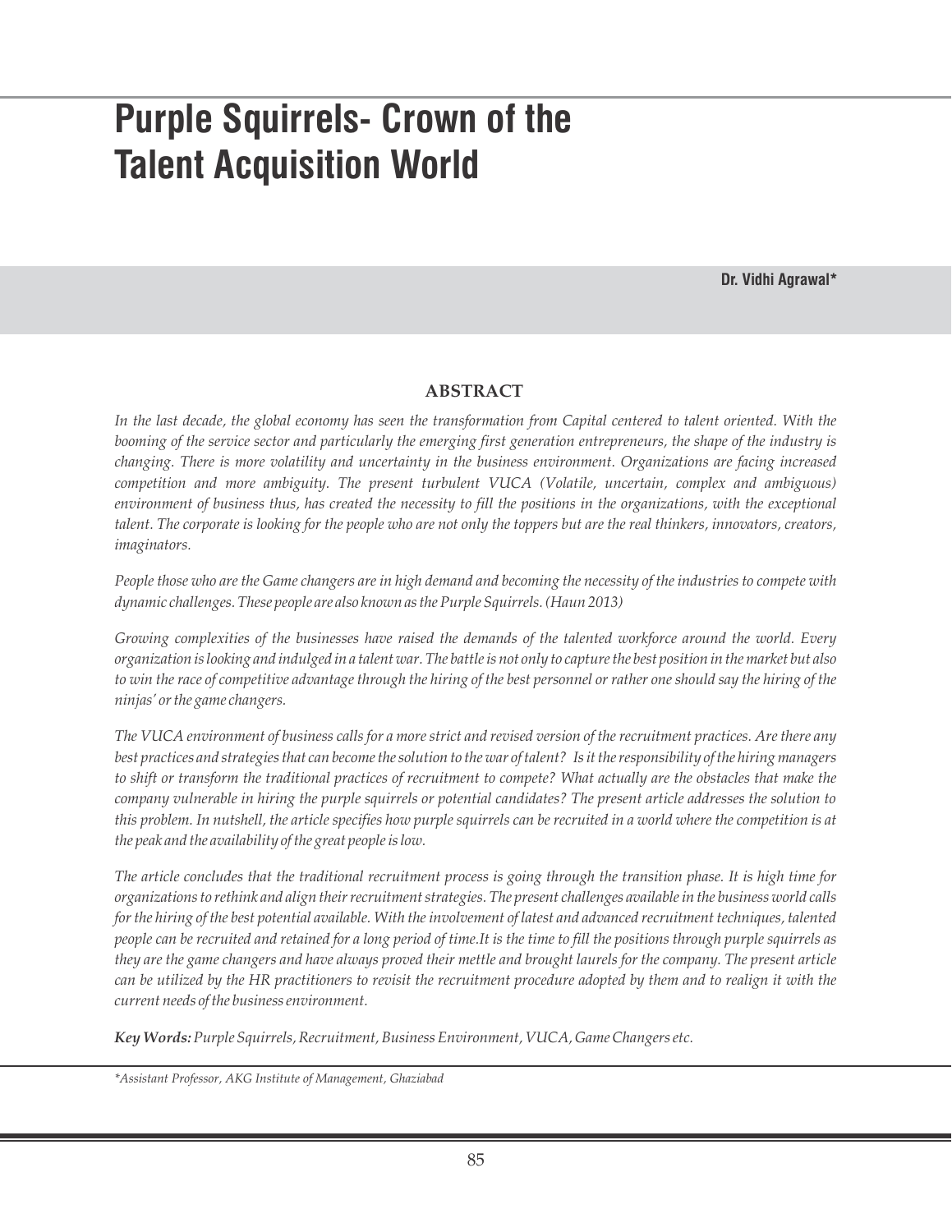# **Purple Squirrels- Crown of the Talent Acquisition World**

**Dr. Vidhi Agrawal\***

# **ABSTRACT**

*In the last decade, the global economy has seen the transformation from Capital centered to talent oriented. With the booming of the service sector and particularly the emerging first generation entrepreneurs, the shape of the industry is changing. There is more volatility and uncertainty in the business environment. Organizations are facing increased competition and more ambiguity. The present turbulent VUCA (Volatile, uncertain, complex and ambiguous) environment of business thus, has created the necessity to fill the positions in the organizations, with the exceptional talent. The corporate is looking for the people who are not only the toppers but are the real thinkers, innovators, creators, imaginators.*

*People those who are the Game changers are in high demand and becoming the necessity of the industries to compete with dynamic challenges. These people are also known as the Purple Squirrels. (Haun 2013)*

*Growing complexities of the businesses have raised the demands of the talented workforce around the world. Every organization is looking and indulged in a talent war. The battle is not only to capture the best position in the market but also to win the race of competitive advantage through the hiring of the best personnel or rather one should say the hiring of the ninjas' or the game changers.*

*The VUCA environment of business calls for a more strict and revised version of the recruitment practices. Are there any best practices and strategies that can become the solution to the war of talent? Is it the responsibility of the hiring managers to shift or transform the traditional practices of recruitment to compete? What actually are the obstacles that make the company vulnerable in hiring the purple squirrels or potential candidates? The present article addresses the solution to this problem. In nutshell, the article specifies how purple squirrels can be recruited in a world where the competition is at the peak and the availability of the great people is low.* 

*The article concludes that the traditional recruitment process is going through the transition phase. It is high time for organizations to rethink and align their recruitment strategies. The present challenges available in the business world calls*  for the hiring of the best potential available. With the involvement of latest and advanced recruitment techniques, talented *people can be recruited and retained for a long period of time.It is the time to fill the positions through purple squirrels as they are the game changers and have always proved their mettle and brought laurels for the company. The present article can be utilized by the HR practitioners to revisit the recruitment procedure adopted by them and to realign it with the current needs of the business environment.* 

*Key Words:Purple Squirrels, Recruitment, Business Environment, VUCA, Game Changers etc.*

*\*Assistant Professor, AKG Institute of Management, Ghaziabad*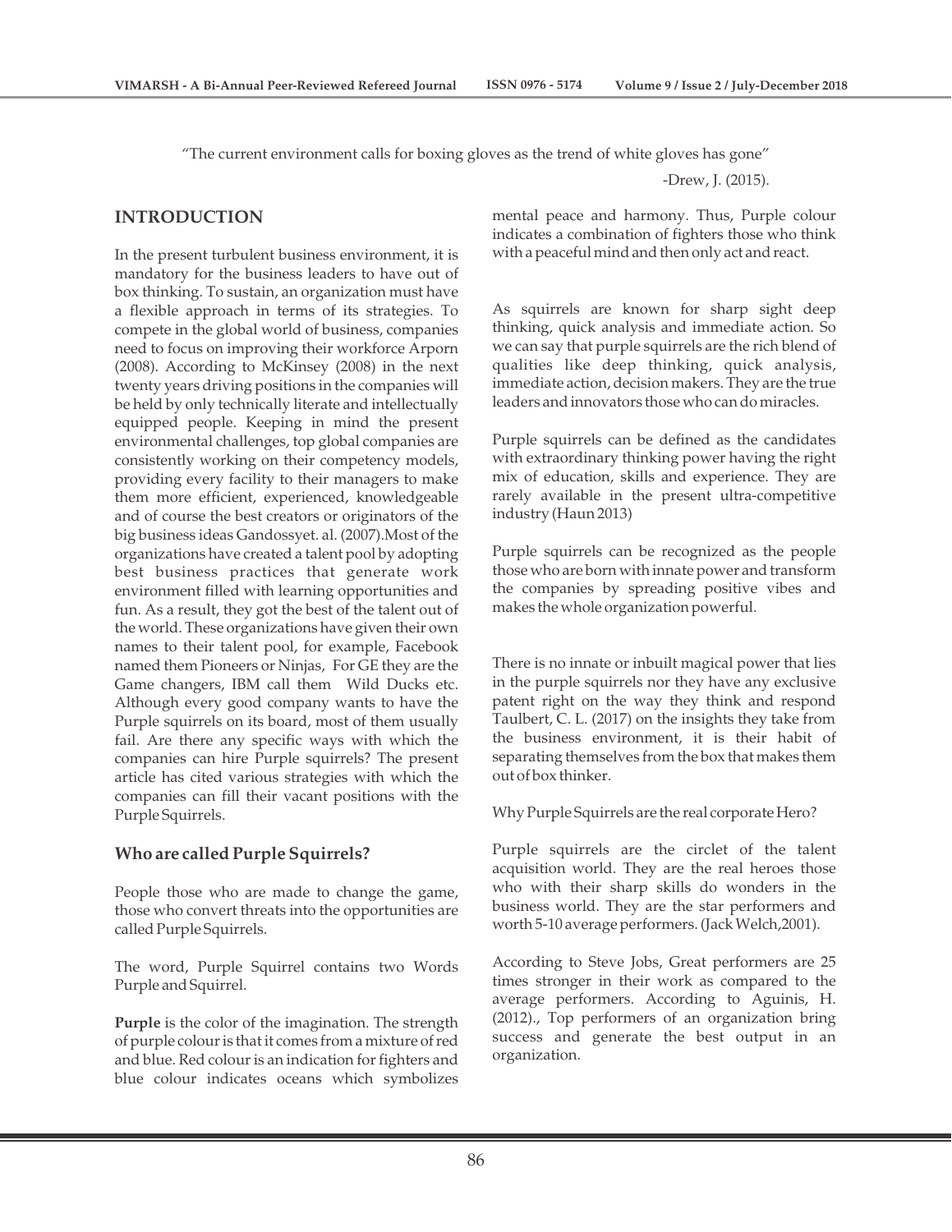"The current environment calls for boxing gloves as the trend of white gloves has gone"

**INTRODUCTION**

In the present turbulent business environment, it is mandatory for the business leaders to have out of box thinking. To sustain, an organization must have a flexible approach in terms of its strategies. To compete in the global world of business, companies need to focus on improving their workforce Arporn (2008). According to McKinsey (2008) in the next twenty years driving positions in the companies will be held by only technically literate and intellectually equipped people. Keeping in mind the present environmental challenges, top global companies are consistently working on their competency models, providing every facility to their managers to make them more efficient, experienced, knowledgeable and of course the best creators or originators of the big business ideas Gandossyet. al. (2007).Most of the organizations have created a talent pool by adopting best business practices that generate work environment filled with learning opportunities and fun. As a result, they got the best of the talent out of the world. These organizations have given their own names to their talent pool, for example, Facebook named them Pioneers or Ninjas, For GE they are the Game changers, IBM call them Wild Ducks etc. Although every good company wants to have the Purple squirrels on its board, most of them usually fail. Are there any specific ways with which the companies can hire Purple squirrels? The present article has cited various strategies with which the companies can fill their vacant positions with the Purple Squirrels.

# **Who are called Purple Squirrels?**

People those who are made to change the game, those who convert threats into the opportunities are called Purple Squirrels.

The word, Purple Squirrel contains two Words Purple and Squirrel.

**Purple** is the color of the imagination. The strength of purple colour is that it comes from a mixture of red and blue. Red colour is an indication for fighters and blue colour indicates oceans which symbolizes

-Drew, J. (2015).

mental peace and harmony. Thus, Purple colour indicates a combination of fighters those who think with a peaceful mind and then only act and react.

As squirrels are known for sharp sight deep thinking, quick analysis and immediate action. So we can say that purple squirrels are the rich blend of qualities like deep thinking, quick analysis, immediate action, decision makers. They are the true leaders and innovators those who can do miracles.

Purple squirrels can be defined as the candidates with extraordinary thinking power having the right mix of education, skills and experience. They are rarely available in the present ultra-competitive industry (Haun 2013)

Purple squirrels can be recognized as the people those who are born with innate power and transform the companies by spreading positive vibes and makes the whole organization powerful.

There is no innate or inbuilt magical power that lies in the purple squirrels nor they have any exclusive patent right on the way they think and respond Taulbert, C. L. (2017) on the insights they take from the business environment, it is their habit of separating themselves from the box that makes them out of box thinker.

Why Purple Squirrels are the real corporate Hero?

Purple squirrels are the circlet of the talent acquisition world. They are the real heroes those who with their sharp skills do wonders in the business world. They are the star performers and worth 5-10 average performers. (Jack Welch,2001).

According to Steve Jobs, Great performers are 25 times stronger in their work as compared to the average performers. According to Aguinis, H. (2012)., Top performers of an organization bring success and generate the best output in an organization.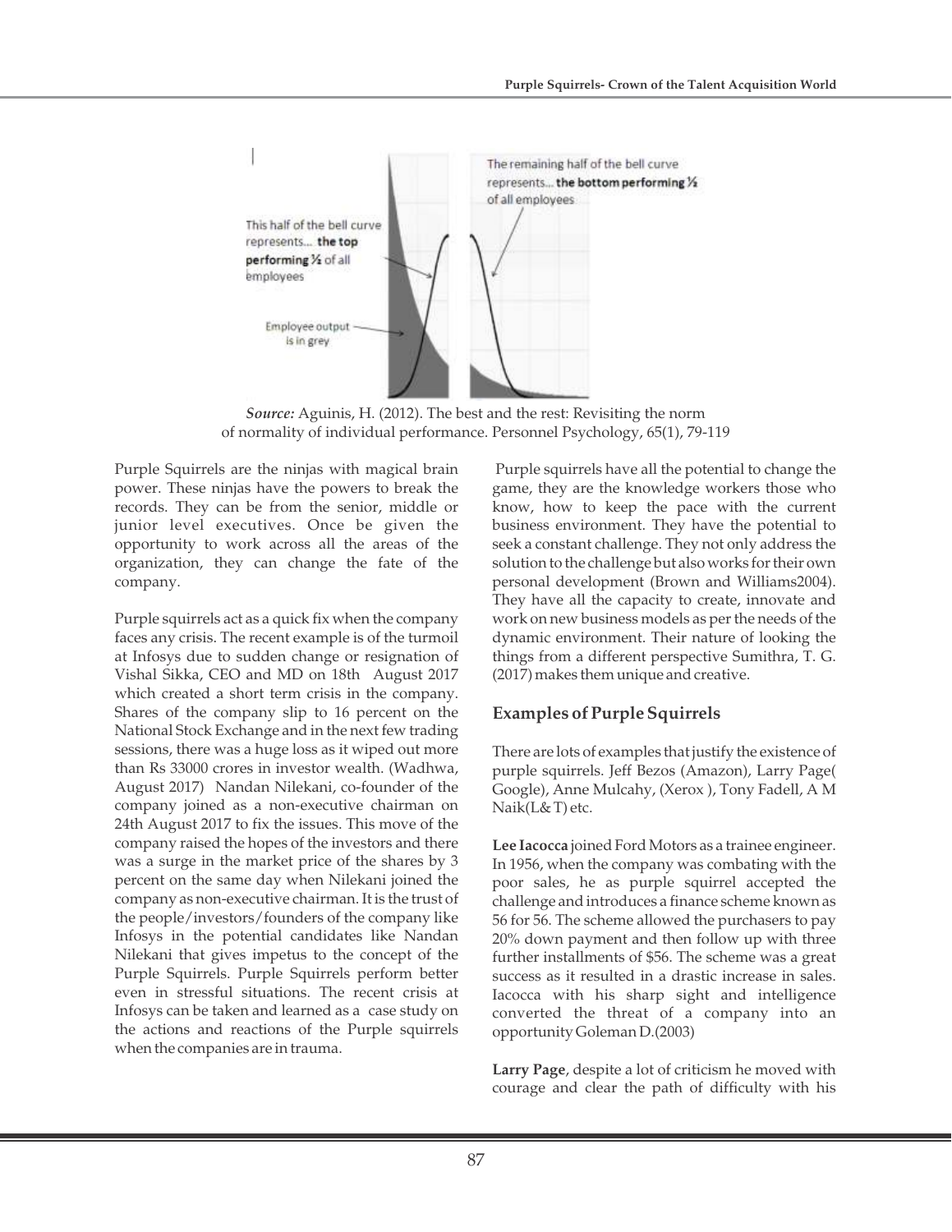

*Source:* Aguinis, H. (2012). The best and the rest: Revisiting the norm of normality of individual performance. Personnel Psychology, 65(1), 79-119

Purple Squirrels are the ninjas with magical brain power. These ninjas have the powers to break the records. They can be from the senior, middle or junior level executives. Once be given the opportunity to work across all the areas of the organization, they can change the fate of the company.

Purple squirrels act as a quick fix when the company faces any crisis. The recent example is of the turmoil at Infosys due to sudden change or resignation of Vishal Sikka, CEO and MD on 18th August 2017 which created a short term crisis in the company. Shares of the company slip to 16 percent on the National Stock Exchange and in the next few trading sessions, there was a huge loss as it wiped out more than Rs 33000 crores in investor wealth. (Wadhwa, August 2017) Nandan Nilekani, co-founder of the company joined as a non-executive chairman on 24th August 2017 to fix the issues. This move of the company raised the hopes of the investors and there was a surge in the market price of the shares by 3 percent on the same day when Nilekani joined the company as non-executive chairman. It is the trust of the people/investors/founders of the company like Infosys in the potential candidates like Nandan Nilekani that gives impetus to the concept of the Purple Squirrels. Purple Squirrels perform better even in stressful situations. The recent crisis at Infosys can be taken and learned as a case study on the actions and reactions of the Purple squirrels when the companies are in trauma.

Purple squirrels have all the potential to change the game, they are the knowledge workers those who know, how to keep the pace with the current business environment. They have the potential to seek a constant challenge. They not only address the solution to the challenge but also works for their own personal development (Brown and Williams2004). They have all the capacity to create, innovate and work on new business models as per the needs of the dynamic environment. Their nature of looking the things from a different perspective Sumithra, T. G. (2017) makes them unique and creative.

# **Examples of Purple Squirrels**

There are lots of examples that justify the existence of purple squirrels. Jeff Bezos (Amazon), Larry Page( Google), Anne Mulcahy, (Xerox ), Tony Fadell, A M Naik(L& T) etc.

**Lee Iacocca** joined Ford Motors as a trainee engineer. In 1956, when the company was combating with the poor sales, he as purple squirrel accepted the challenge and introduces a finance scheme known as 56 for 56. The scheme allowed the purchasers to pay 20% down payment and then follow up with three further installments of \$56. The scheme was a great success as it resulted in a drastic increase in sales. Iacocca with his sharp sight and intelligence converted the threat of a company into an opportunity Goleman D.(2003)

**Larry Page**, despite a lot of criticism he moved with courage and clear the path of difficulty with his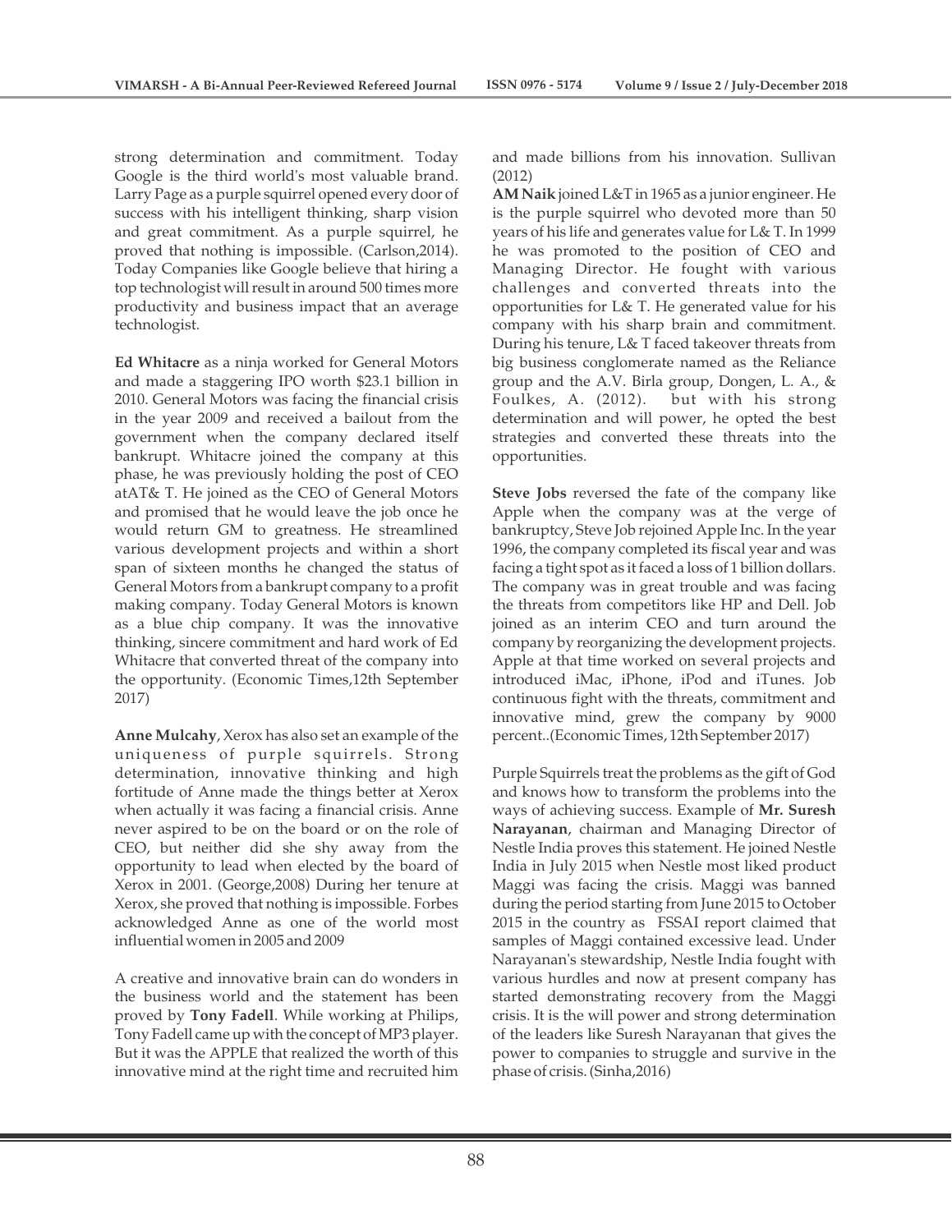strong determination and commitment. Today Google is the third world's most valuable brand. Larry Page as a purple squirrel opened every door of success with his intelligent thinking, sharp vision and great commitment. As a purple squirrel, he proved that nothing is impossible. (Carlson,2014). Today Companies like Google believe that hiring a top technologist will result in around 500 times more productivity and business impact that an average technologist.

**Ed Whitacre** as a ninja worked for General Motors and made a staggering IPO worth \$23.1 billion in 2010. General Motors was facing the financial crisis in the year 2009 and received a bailout from the government when the company declared itself bankrupt. Whitacre joined the company at this phase, he was previously holding the post of CEO atAT& T. He joined as the CEO of General Motors and promised that he would leave the job once he would return GM to greatness. He streamlined various development projects and within a short span of sixteen months he changed the status of General Motors from a bankrupt company to a profit making company. Today General Motors is known as a blue chip company. It was the innovative thinking, sincere commitment and hard work of Ed Whitacre that converted threat of the company into the opportunity. (Economic Times,12th September 2017)

**Anne Mulcahy**, Xerox has also set an example of the uniqueness of purple squirrels. Strong determination, innovative thinking and high fortitude of Anne made the things better at Xerox when actually it was facing a financial crisis. Anne never aspired to be on the board or on the role of CEO, but neither did she shy away from the opportunity to lead when elected by the board of Xerox in 2001. (George,2008) During her tenure at Xerox, she proved that nothing is impossible. Forbes acknowledged Anne as one of the world most influential women in 2005 and 2009

A creative and innovative brain can do wonders in the business world and the statement has been proved by **Tony Fadell**. While working at Philips, Tony Fadell came up with the concept of MP3 player. But it was the APPLE that realized the worth of this innovative mind at the right time and recruited him

and made billions from his innovation. Sullivan (2012)

**AM Naik** joined L&T in 1965 as a junior engineer. He is the purple squirrel who devoted more than 50 years of his life and generates value for L& T. In 1999 he was promoted to the position of CEO and Managing Director. He fought with various challenges and converted threats into the opportunities for L& T. He generated value for his company with his sharp brain and commitment. During his tenure, L& T faced takeover threats from big business conglomerate named as the Reliance group and the A.V. Birla group, Dongen, L. A., & Foulkes, A. (2012). but with his strong determination and will power, he opted the best strategies and converted these threats into the opportunities.

**Steve Jobs** reversed the fate of the company like Apple when the company was at the verge of bankruptcy, Steve Job rejoined Apple Inc. In the year 1996, the company completed its fiscal year and was facing a tight spot as it faced a loss of 1 billion dollars. The company was in great trouble and was facing the threats from competitors like HP and Dell. Job joined as an interim CEO and turn around the company by reorganizing the development projects. Apple at that time worked on several projects and introduced iMac, iPhone, iPod and iTunes. Job continuous fight with the threats, commitment and innovative mind, grew the company by 9000 percent..(Economic Times, 12th September 2017)

Purple Squirrels treat the problems as the gift of God and knows how to transform the problems into the ways of achieving success. Example of **Mr. Suresh Narayanan**, chairman and Managing Director of Nestle India proves this statement. He joined Nestle India in July 2015 when Nestle most liked product Maggi was facing the crisis. Maggi was banned during the period starting from June 2015 to October 2015 in the country as FSSAI report claimed that samples of Maggi contained excessive lead. Under Narayanan's stewardship, Nestle India fought with various hurdles and now at present company has started demonstrating recovery from the Maggi crisis. It is the will power and strong determination of the leaders like Suresh Narayanan that gives the power to companies to struggle and survive in the phase of crisis. (Sinha,2016)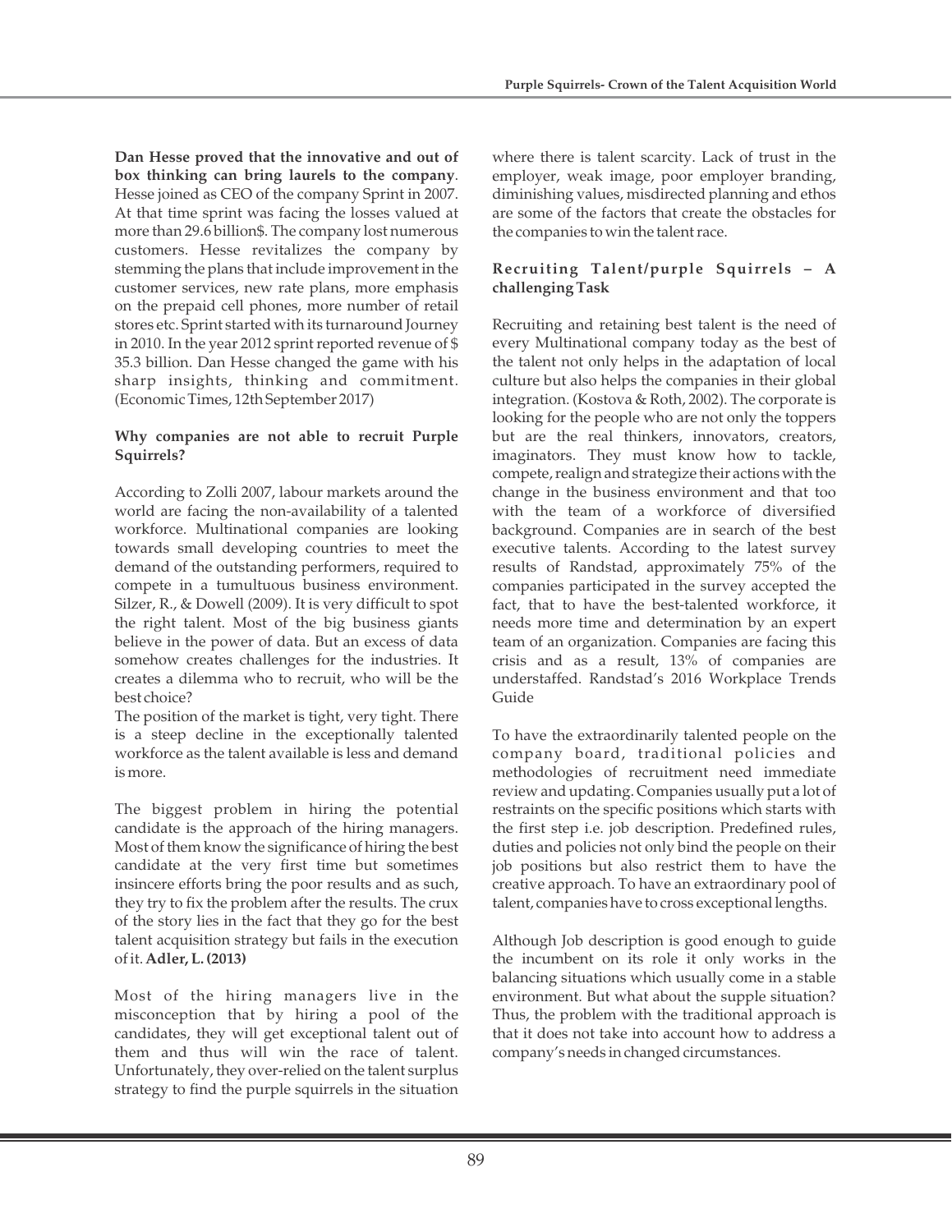**Dan Hesse proved that the innovative and out of box thinking can bring laurels to the company**. Hesse joined as CEO of the company Sprint in 2007. At that time sprint was facing the losses valued at more than 29.6 billion\$. The company lost numerous customers. Hesse revitalizes the company by stemming the plans that include improvement in the customer services, new rate plans, more emphasis on the prepaid cell phones, more number of retail stores etc. Sprint started with its turnaround Journey in 2010. In the year 2012 sprint reported revenue of \$ 35.3 billion. Dan Hesse changed the game with his sharp insights, thinking and commitment. (Economic Times, 12th September 2017)

## **Why companies are not able to recruit Purple Squirrels?**

According to Zolli 2007, labour markets around the world are facing the non-availability of a talented workforce. Multinational companies are looking towards small developing countries to meet the demand of the outstanding performers, required to compete in a tumultuous business environment. Silzer, R., & Dowell (2009). It is very difficult to spot the right talent. Most of the big business giants believe in the power of data. But an excess of data somehow creates challenges for the industries. It creates a dilemma who to recruit, who will be the best choice?

The position of the market is tight, very tight. There is a steep decline in the exceptionally talented workforce as the talent available is less and demand is more.

The biggest problem in hiring the potential candidate is the approach of the hiring managers. Most of them know the significance of hiring the best candidate at the very first time but sometimes insincere efforts bring the poor results and as such, they try to fix the problem after the results. The crux of the story lies in the fact that they go for the best talent acquisition strategy but fails in the execution of it. **Adler, L. (2013)**

Most of the hiring managers live in the misconception that by hiring a pool of the candidates, they will get exceptional talent out of them and thus will win the race of talent. Unfortunately, they over-relied on the talent surplus strategy to find the purple squirrels in the situation

where there is talent scarcity. Lack of trust in the employer, weak image, poor employer branding, diminishing values, misdirected planning and ethos are some of the factors that create the obstacles for the companies to win the talent race.

## **Recruiting Talent/purple Squirrels – A challenging Task**

Recruiting and retaining best talent is the need of every Multinational company today as the best of the talent not only helps in the adaptation of local culture but also helps the companies in their global integration. (Kostova & Roth, 2002). The corporate is looking for the people who are not only the toppers but are the real thinkers, innovators, creators, imaginators. They must know how to tackle, compete, realign and strategize their actions with the change in the business environment and that too with the team of a workforce of diversified background. Companies are in search of the best executive talents. According to the latest survey results of Randstad, approximately 75% of the companies participated in the survey accepted the fact, that to have the best-talented workforce, it needs more time and determination by an expert team of an organization. Companies are facing this crisis and as a result, 13% of companies are understaffed. Randstad's 2016 Workplace Trends Guide

To have the extraordinarily talented people on the company board, traditional policies and methodologies of recruitment need immediate review and updating. Companies usually put a lot of restraints on the specific positions which starts with the first step i.e. job description. Predefined rules, duties and policies not only bind the people on their job positions but also restrict them to have the creative approach. To have an extraordinary pool of talent, companies have to cross exceptional lengths.

Although Job description is good enough to guide the incumbent on its role it only works in the balancing situations which usually come in a stable environment. But what about the supple situation? Thus, the problem with the traditional approach is that it does not take into account how to address a company's needs in changed circumstances.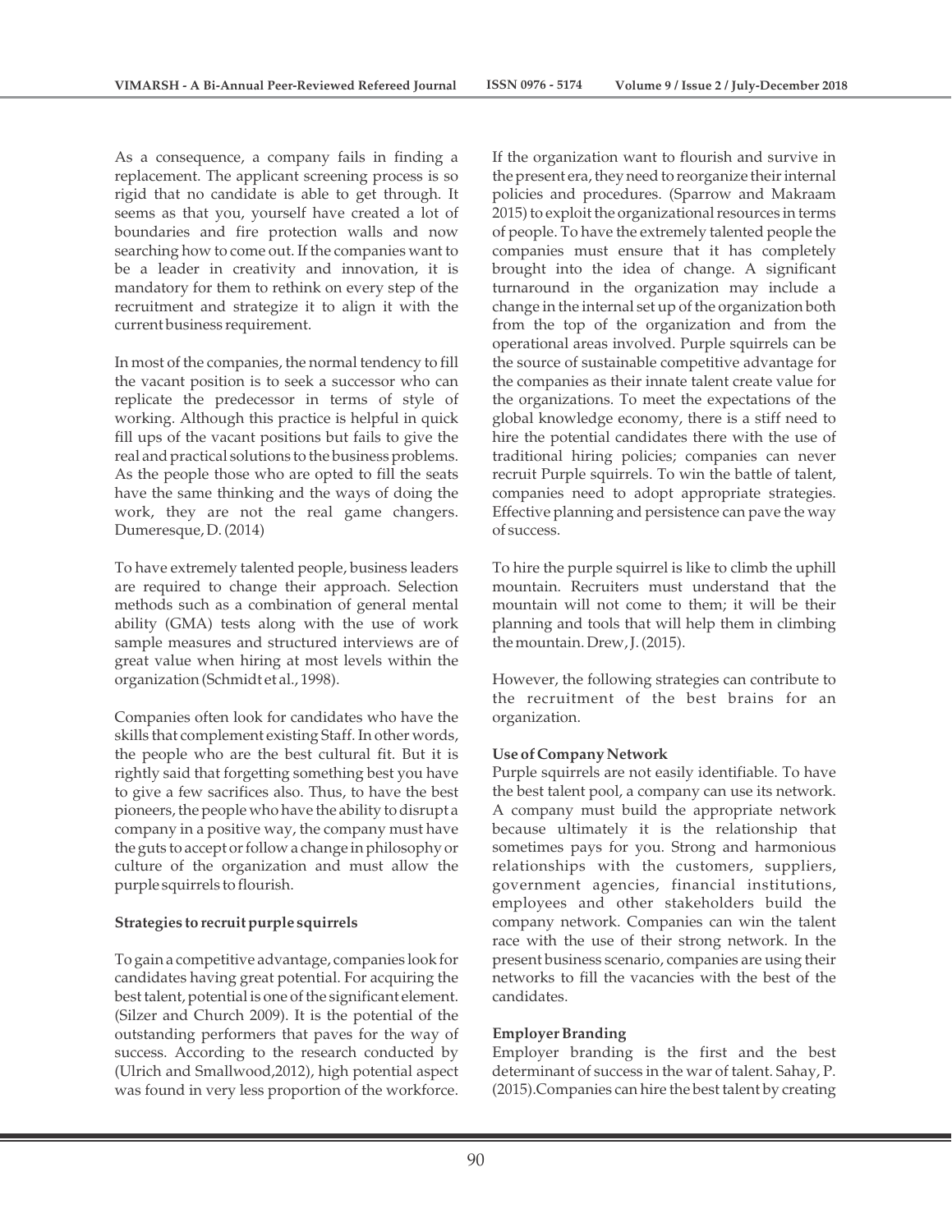As a consequence, a company fails in finding a replacement. The applicant screening process is so rigid that no candidate is able to get through. It seems as that you, yourself have created a lot of boundaries and fire protection walls and now searching how to come out. If the companies want to be a leader in creativity and innovation, it is mandatory for them to rethink on every step of the recruitment and strategize it to align it with the current business requirement.

In most of the companies, the normal tendency to fill the vacant position is to seek a successor who can replicate the predecessor in terms of style of working. Although this practice is helpful in quick fill ups of the vacant positions but fails to give the real and practical solutions to the business problems. As the people those who are opted to fill the seats have the same thinking and the ways of doing the work, they are not the real game changers. Dumeresque, D. (2014)

To have extremely talented people, business leaders are required to change their approach. Selection methods such as a combination of general mental ability (GMA) tests along with the use of work sample measures and structured interviews are of great value when hiring at most levels within the organization (Schmidt et al., 1998).

Companies often look for candidates who have the skills that complement existing Staff. In other words, the people who are the best cultural fit. But it is rightly said that forgetting something best you have to give a few sacrifices also. Thus, to have the best pioneers, the people who have the ability to disrupt a company in a positive way, the company must have the guts to accept or follow a change in philosophy or culture of the organization and must allow the purple squirrels to flourish.

#### **Strategies to recruit purple squirrels**

To gain a competitive advantage, companies look for candidates having great potential. For acquiring the best talent, potential is one of the significant element. (Silzer and Church 2009). It is the potential of the outstanding performers that paves for the way of success. According to the research conducted by (Ulrich and Smallwood,2012), high potential aspect was found in very less proportion of the workforce.

If the organization want to flourish and survive in the present era, they need to reorganize their internal policies and procedures. (Sparrow and Makraam 2015) to exploit the organizational resources in terms of people. To have the extremely talented people the companies must ensure that it has completely brought into the idea of change. A significant turnaround in the organization may include a change in the internal set up of the organization both from the top of the organization and from the operational areas involved. Purple squirrels can be the source of sustainable competitive advantage for the companies as their innate talent create value for the organizations. To meet the expectations of the global knowledge economy, there is a stiff need to hire the potential candidates there with the use of traditional hiring policies; companies can never recruit Purple squirrels. To win the battle of talent, companies need to adopt appropriate strategies. Effective planning and persistence can pave the way of success.

To hire the purple squirrel is like to climb the uphill mountain. Recruiters must understand that the mountain will not come to them; it will be their planning and tools that will help them in climbing the mountain. Drew, J. (2015).

However, the following strategies can contribute to the recruitment of the best brains for an organization.

#### **Use of Company Network**

Purple squirrels are not easily identifiable. To have the best talent pool, a company can use its network. A company must build the appropriate network because ultimately it is the relationship that sometimes pays for you. Strong and harmonious relationships with the customers, suppliers, government agencies, financial institutions, employees and other stakeholders build the company network. Companies can win the talent race with the use of their strong network. In the present business scenario, companies are using their networks to fill the vacancies with the best of the candidates.

#### **Employer Branding**

Employer branding is the first and the best determinant of success in the war of talent. Sahay, P. (2015).Companies can hire the best talent by creating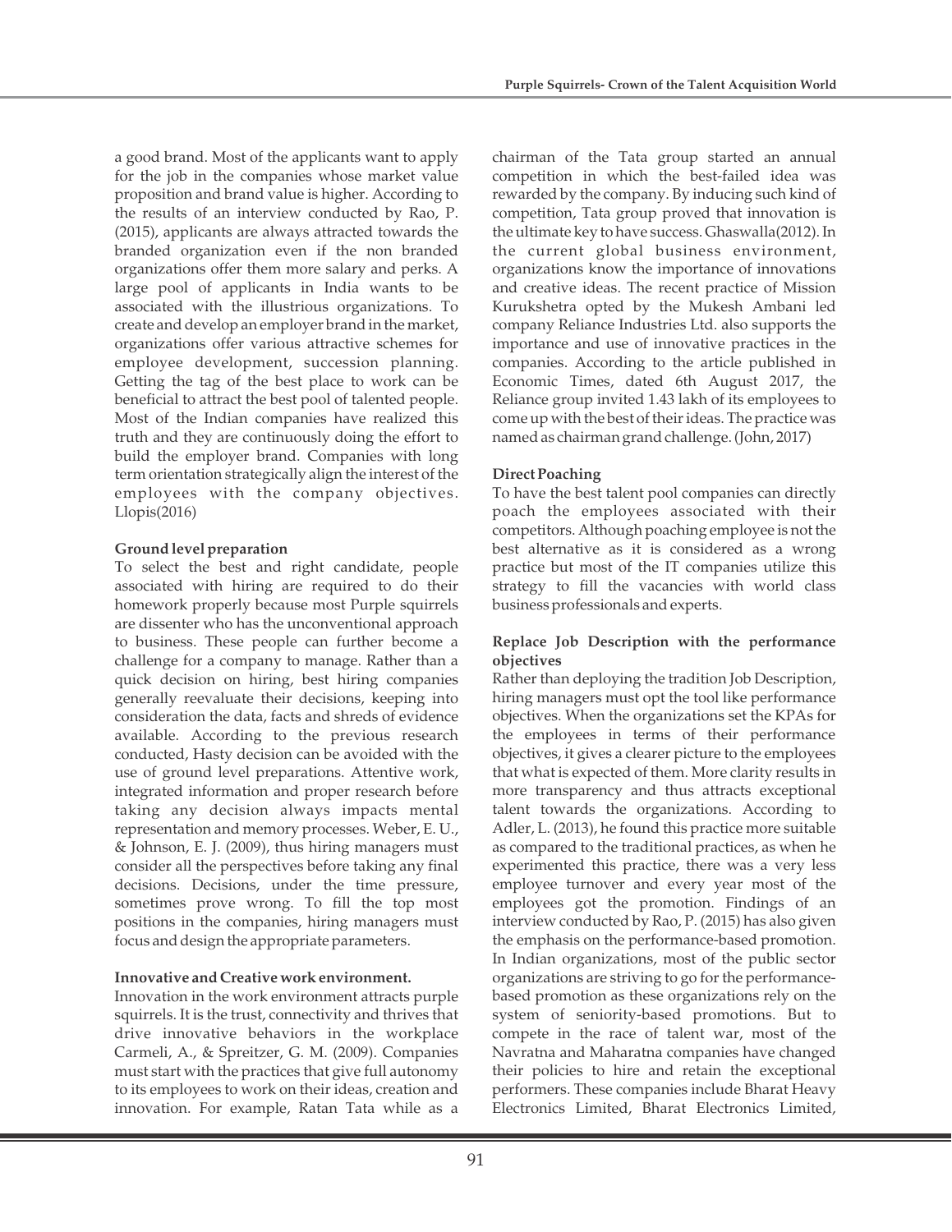a good brand. Most of the applicants want to apply for the job in the companies whose market value proposition and brand value is higher. According to the results of an interview conducted by Rao, P. (2015), applicants are always attracted towards the branded organization even if the non branded organizations offer them more salary and perks. A large pool of applicants in India wants to be associated with the illustrious organizations. To create and develop an employer brand in the market, organizations offer various attractive schemes for employee development, succession planning. Getting the tag of the best place to work can be beneficial to attract the best pool of talented people. Most of the Indian companies have realized this truth and they are continuously doing the effort to build the employer brand. Companies with long term orientation strategically align the interest of the employees with the company objectives.  $Llopis(2016)$ 

## **Ground level preparation**

To select the best and right candidate, people associated with hiring are required to do their homework properly because most Purple squirrels are dissenter who has the unconventional approach to business. These people can further become a challenge for a company to manage. Rather than a quick decision on hiring, best hiring companies generally reevaluate their decisions, keeping into consideration the data, facts and shreds of evidence available. According to the previous research conducted, Hasty decision can be avoided with the use of ground level preparations. Attentive work, integrated information and proper research before taking any decision always impacts mental representation and memory processes. Weber, E. U., & Johnson, E. J. (2009), thus hiring managers must consider all the perspectives before taking any final decisions. Decisions, under the time pressure, sometimes prove wrong. To fill the top most positions in the companies, hiring managers must focus and design the appropriate parameters.

#### **Innovative and Creative work environment.**

Innovation in the work environment attracts purple squirrels. It is the trust, connectivity and thrives that drive innovative behaviors in the workplace Carmeli, A., & Spreitzer, G. M. (2009). Companies must start with the practices that give full autonomy to its employees to work on their ideas, creation and innovation. For example, Ratan Tata while as a

chairman of the Tata group started an annual competition in which the best-failed idea was rewarded by the company. By inducing such kind of competition, Tata group proved that innovation is the ultimate key to have success. Ghaswalla(2012). In the current global business environment, organizations know the importance of innovations and creative ideas. The recent practice of Mission Kurukshetra opted by the Mukesh Ambani led company Reliance Industries Ltd. also supports the importance and use of innovative practices in the companies. According to the article published in Economic Times, dated 6th August 2017, the Reliance group invited 1.43 lakh of its employees to come up with the best of their ideas. The practice was named as chairman grand challenge. (John, 2017)

## **Direct Poaching**

To have the best talent pool companies can directly poach the employees associated with their competitors. Although poaching employee is not the best alternative as it is considered as a wrong practice but most of the IT companies utilize this strategy to fill the vacancies with world class business professionals and experts.

#### **Replace Job Description with the performance objectives**

Rather than deploying the tradition Job Description, hiring managers must opt the tool like performance objectives. When the organizations set the KPAs for the employees in terms of their performance objectives, it gives a clearer picture to the employees that what is expected of them. More clarity results in more transparency and thus attracts exceptional talent towards the organizations. According to Adler, L. (2013), he found this practice more suitable as compared to the traditional practices, as when he experimented this practice, there was a very less employee turnover and every year most of the employees got the promotion. Findings of an interview conducted by Rao, P. (2015) has also given the emphasis on the performance-based promotion. In Indian organizations, most of the public sector organizations are striving to go for the performancebased promotion as these organizations rely on the system of seniority-based promotions. But to compete in the race of talent war, most of the Navratna and Maharatna companies have changed their policies to hire and retain the exceptional performers. These companies include Bharat Heavy Electronics Limited, Bharat Electronics Limited,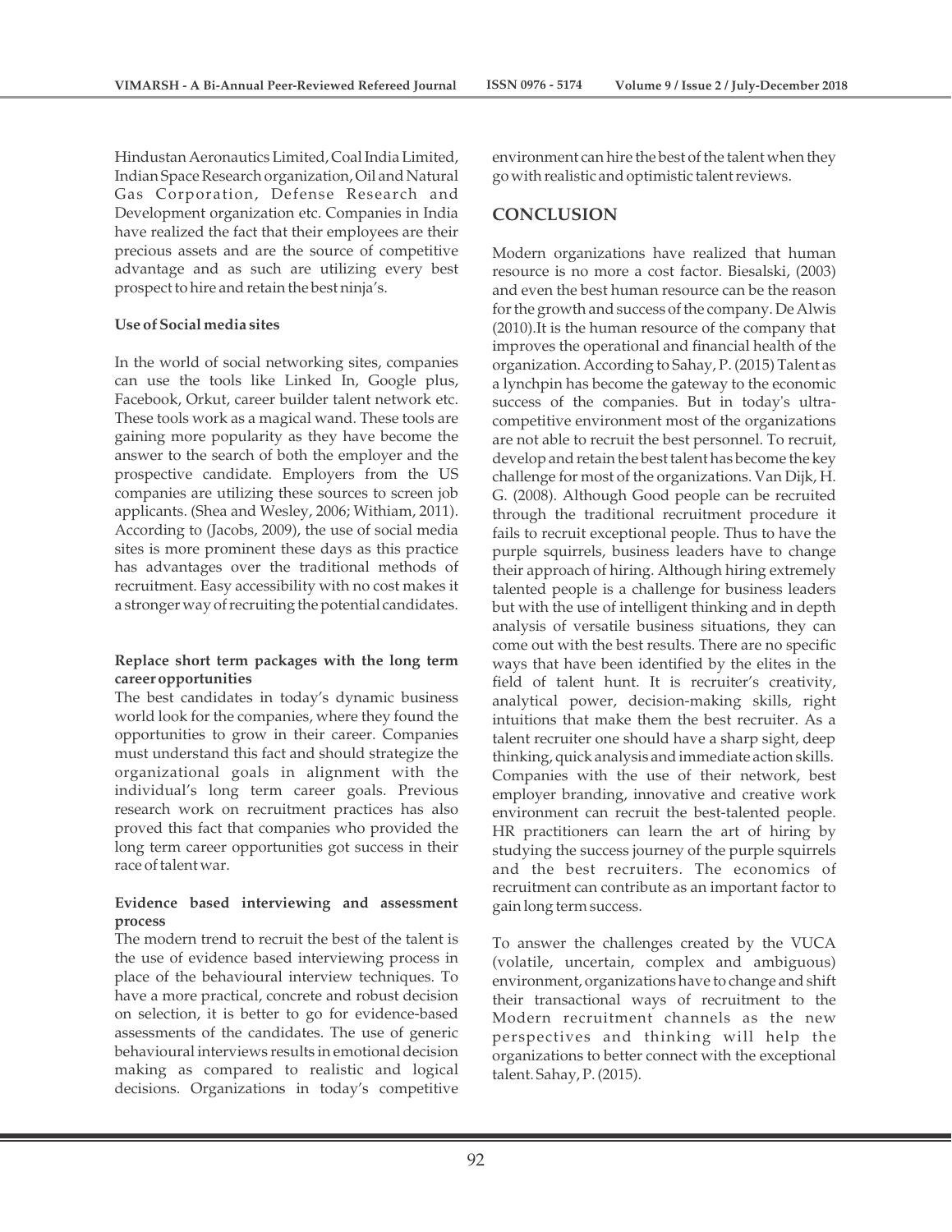Hindustan Aeronautics Limited, Coal India Limited, Indian Space Research organization, Oil and Natural Gas Corporation, Defense Research and Development organization etc. Companies in India have realized the fact that their employees are their precious assets and are the source of competitive advantage and as such are utilizing every best prospect to hire and retain the best ninja's.

#### **Use of Social media sites**

In the world of social networking sites, companies can use the tools like Linked In, Google plus, Facebook, Orkut, career builder talent network etc. These tools work as a magical wand. These tools are gaining more popularity as they have become the answer to the search of both the employer and the prospective candidate. Employers from the US companies are utilizing these sources to screen job applicants. (Shea and Wesley, 2006; Withiam, 2011). According to (Jacobs, 2009), the use of social media sites is more prominent these days as this practice has advantages over the traditional methods of recruitment. Easy accessibility with no cost makes it a stronger way of recruiting the potential candidates.

#### **Replace short term packages with the long term career opportunities**

The best candidates in today's dynamic business world look for the companies, where they found the opportunities to grow in their career. Companies must understand this fact and should strategize the organizational goals in alignment with the individual's long term career goals. Previous research work on recruitment practices has also proved this fact that companies who provided the long term career opportunities got success in their race of talent war.

## **Evidence based interviewing and assessment process**

The modern trend to recruit the best of the talent is the use of evidence based interviewing process in place of the behavioural interview techniques. To have a more practical, concrete and robust decision on selection, it is better to go for evidence-based assessments of the candidates. The use of generic behavioural interviews results in emotional decision making as compared to realistic and logical decisions. Organizations in today's competitive

environment can hire the best of the talent when they go with realistic and optimistic talent reviews.

# **CONCLUSION**

Modern organizations have realized that human resource is no more a cost factor. Biesalski, (2003) and even the best human resource can be the reason for the growth and success of the company. De Alwis (2010).It is the human resource of the company that improves the operational and financial health of the organization. According to Sahay, P. (2015) Talent as a lynchpin has become the gateway to the economic success of the companies. But in today's ultracompetitive environment most of the organizations are not able to recruit the best personnel. To recruit, develop and retain the best talent has become the key challenge for most of the organizations. Van Dijk, H. G. (2008). Although Good people can be recruited through the traditional recruitment procedure it fails to recruit exceptional people. Thus to have the purple squirrels, business leaders have to change their approach of hiring. Although hiring extremely talented people is a challenge for business leaders but with the use of intelligent thinking and in depth analysis of versatile business situations, they can come out with the best results. There are no specific ways that have been identified by the elites in the field of talent hunt. It is recruiter's creativity, analytical power, decision-making skills, right intuitions that make them the best recruiter. As a talent recruiter one should have a sharp sight, deep thinking, quick analysis and immediate action skills. Companies with the use of their network, best employer branding, innovative and creative work environment can recruit the best-talented people. HR practitioners can learn the art of hiring by studying the success journey of the purple squirrels and the best recruiters. The economics of recruitment can contribute as an important factor to gain long term success.

To answer the challenges created by the VUCA (volatile, uncertain, complex and ambiguous) environment, organizations have to change and shift their transactional ways of recruitment to the Modern recruitment channels as the new perspectives and thinking will help the organizations to better connect with the exceptional talent. Sahay, P. (2015).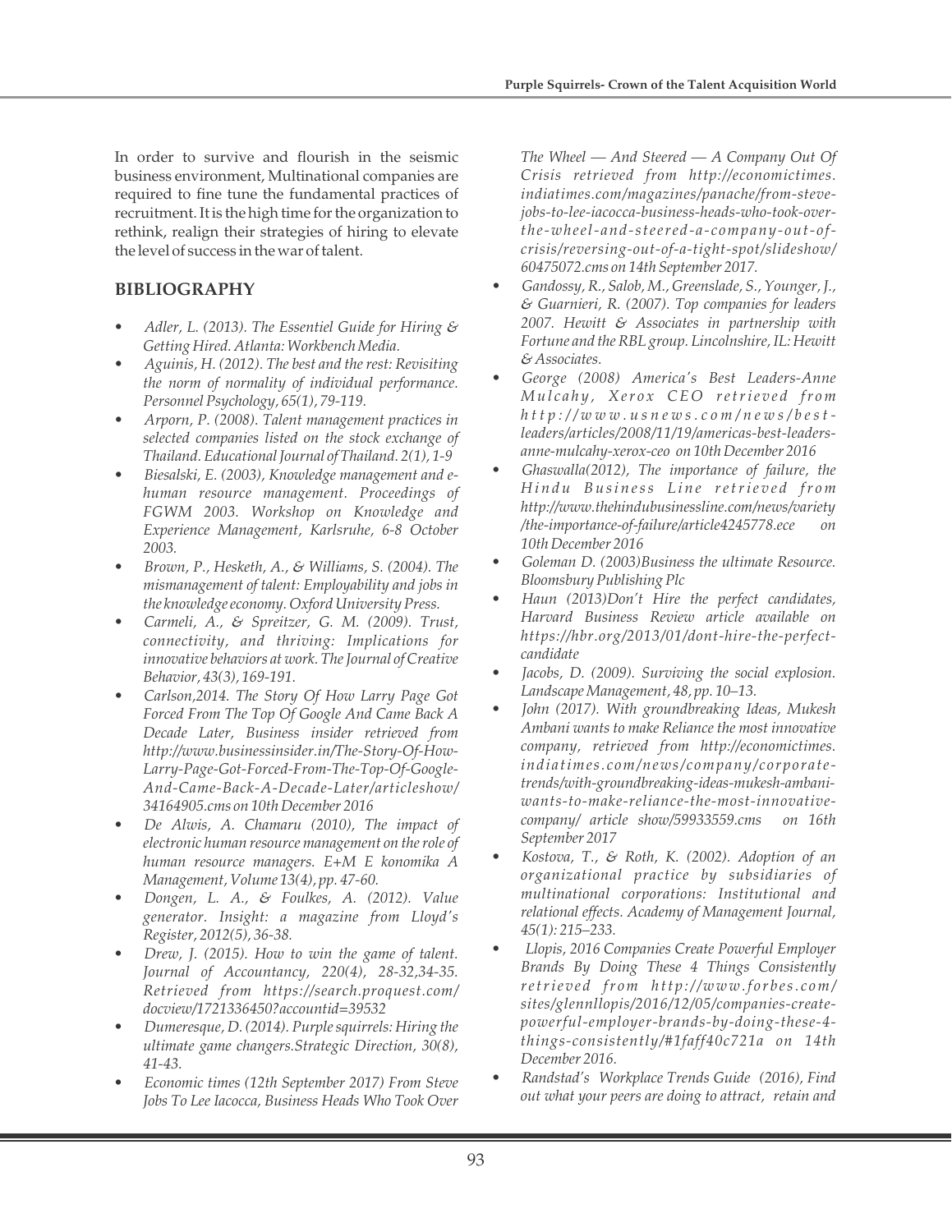In order to survive and flourish in the seismic business environment, Multinational companies are required to fine tune the fundamental practices of recruitment. It is the high time for the organization to rethink, realign their strategies of hiring to elevate the level of success in the war of talent.

# **BIBLIOGRAPHY**

- *Adler, L. (2013). The Essentiel Guide for Hiring & Getting Hired. Atlanta: Workbench Media.*
- *Aguinis, H. (2012). The best and the rest: Revisiting the norm of normality of individual performance. Personnel Psychology, 65(1), 79-119.*
- *Arporn, P. (2008). Talent management practices in selected companies listed on the stock exchange of Thailand. Educational Journal of Thailand. 2(1), 1-9*
- *Biesalski, E. (2003), Knowledge management and ehuman resource management. Proceedings of FGWM 2003. Workshop on Knowledge and Experience Management, Karlsruhe, 6-8 October 2003.*
- *Brown, P., Hesketh, A., & Williams, S. (2004). The mismanagement of talent: Employability and jobs in the knowledge economy. Oxford University Press.*
- *Carmeli, A., & Spreitzer, G. M. (2009). Trust, connectivity, and thriving: Implications for innovative behaviors at work. The Journal of Creative Behavior, 43(3), 169-191.*
- *Carlson,2014. The Story Of How Larry Page Got Forced From The Top Of Google And Came Back A Decade Later, Business insider retrieved from http://www.businessinsider.in/The-Story-Of-How-Larry-Page-Got-Forced-From-The-Top-Of-Google-And-Came-Back-A-Decade-Later/articleshow/ 34164905.cms on 10th December 2016*
- *De Alwis, A. Chamaru (2010), The impact of electronic human resource management on the role of human resource managers. E+M E konomika A Management, Volume 13(4), pp. 47-60.*
- *Dongen, L. A., & Foulkes, A. (2012). Value generator. Insight: a magazine from Lloyd's Register, 2012(5), 36-38.*
- *Drew, J. (2015). How to win the game of talent. Journal of Accountancy, 220(4), 28-32,34-35. Retrieved from https://search.proquest.com/ docview/1721336450?accountid=39532*
- *Dumeresque, D. (2014). Purple squirrels: Hiring the ultimate game changers.Strategic Direction, 30(8), 41-43.*
- *Economic times (12th September 2017) From Steve Jobs To Lee Iacocca, Business Heads Who Took Over*

*The Wheel — And Steered — A Company Out Of Crisis retrieved from http://economictimes. indiatimes.com/magazines/panache/from-stevejobs-to-lee-iacocca-business-heads-who-took-overthe-wheel- and-steered- a - c ompany- out- o fcrisis/reversing-out-of-a-tight-spot/slideshow/ 60475072.cms on 14th September 2017.*

- *Gandossy, R., Salob, M., Greenslade, S., Younger, J., & Guarnieri, R. (2007). Top companies for leaders 2007. Hewitt & Associates in partnership with Fortune and the RBL group. Lincolnshire, IL: Hewitt & Associates.*
- *George (2008) America's Best Leaders-Anne Mu l c a h y , Xer o x CEO retrie v e d fr om*  $h$  t t p : //www.usnews.com/news/best*leaders/articles/2008/11/19/americas-best-leadersanne-mulcahy-xerox-ceo on 10th December 2016*
- *Ghaswalla(2012), The importance of failure, the Hi n d u Bu si n ess L i n e retrie v e d fr om http://www.thehindubusinessline.com/news/variety /the-importance-of-failure/article4245778.ece on 10th December 2016*
- *Goleman D. (2003)Business the ultimate Resource. Bloomsbury Publishing Plc*
- *Haun (2013)Don't Hire the perfect candidates, Harvard Business Review article available on https://hbr.org/2013/01/dont-hire-the-perfectcandidate*
- *Jacobs, D. (2009). Surviving the social explosion. Landscape Management, 48, pp. 10–13.*
- *John (2017). With groundbreaking Ideas, Mukesh Ambani wants to make Reliance the most innovative company, retrieved from http://economictimes. indiatimes. com/news/ company/ corporatetrends/with-groundbreaking-ideas-mukesh-ambaniwants-to-make-reliance-the-most-innovativecompany/ article show/59933559.cms on 16th September 2017*
- *Kostova, T., & Roth, K. (2002). Adoption of an organizational practice by subsidiaries of multinational corporations: Institutional and relational effects. Academy of Management Journal, 45(1): 215–233.*
- *Llopis, 2016 Companies Create Powerful Employer Brands By Doing These 4 Things Consistently retrie v e d fr om h tt p ://www.f o r b es. c om/ sites/glennllopis/2016/12/05/companies-createpowerful-employer-brands-by-doing-these-4 things-consistently/#1faff40c721a on 14th December 2016.*
- *Randstad's Workplace Trends Guide (2016), Find out what your peers are doing to attract, retain and*